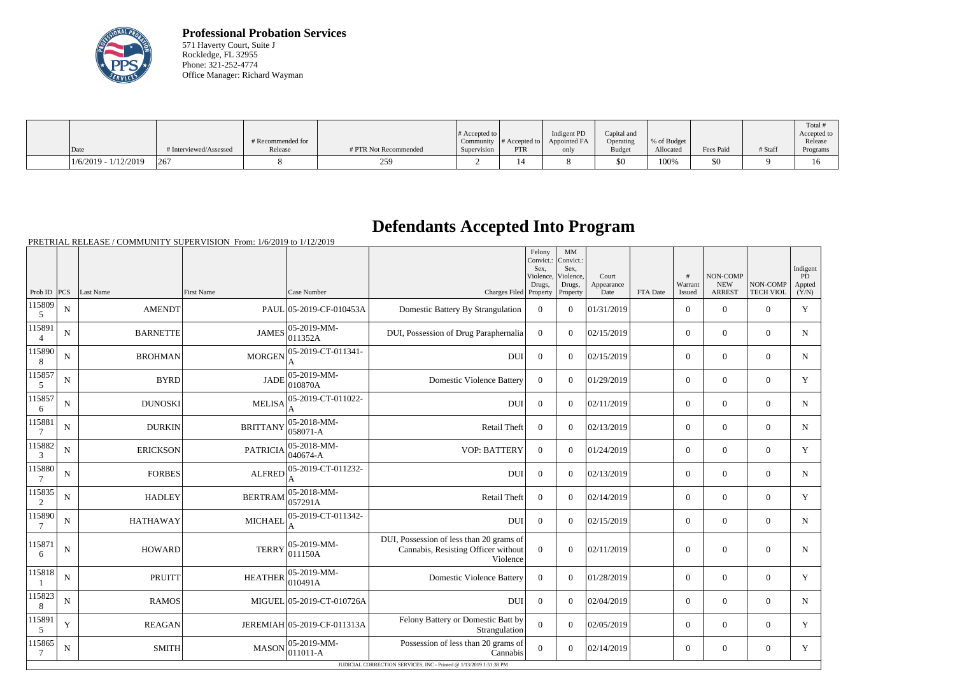

**Professional Probation Services** 571 Haverty Court, Suite J Rockledge, FL 32955 Phone: 321-252-4774 Office Manager: Richard Wayman

|                        |                        | # Recommended for |                       | # Accepted to $\vert$ |            | Indigent PD<br>Community $\ #$ Accepted to $\ $ Appointed FA | Capital and<br>Operating | % of Budget |           |         | Total<br>Accepted to<br>Release |
|------------------------|------------------------|-------------------|-----------------------|-----------------------|------------|--------------------------------------------------------------|--------------------------|-------------|-----------|---------|---------------------------------|
| Date                   | # Interviewed/Assessed | Release           | # PTR Not Recommended | Supervision           | <b>PTR</b> | only                                                         | <b>Budget</b>            | Allocated   | Fees Paid | # Staff | Programs                        |
| $1/6/2019 - 1/12/2019$ | 1267                   |                   | 259                   |                       |            |                                                              | \$0                      | 100%        | \$0       |         | 16                              |

## **Defendants Accepted Into Program**

PRETRIAL RELEASE / COMMUNITY SUPERVISION From: 1/6/2019 to 1/12/2019

|                          |             |                 |                   |                              |                                                                                             | Felony<br>Convict.:<br>Sex,<br>Violence,<br>Drugs, | MM<br>Convict.:<br>Sex,<br>Violence,<br>Drugs, | Court<br>Appearance |          | #<br>Warrant   | NON-COMP<br><b>NEW</b> | NON-COMP         | Indigent<br>PD<br>Appted |
|--------------------------|-------------|-----------------|-------------------|------------------------------|---------------------------------------------------------------------------------------------|----------------------------------------------------|------------------------------------------------|---------------------|----------|----------------|------------------------|------------------|--------------------------|
| Prob ID $ PCS $          |             | Last Name       | <b>First Name</b> | Case Number                  | Charges Filed Property                                                                      |                                                    | Property                                       | Date                | FTA Date | Issued         | <b>ARREST</b>          | <b>TECH VIOL</b> | (Y/N)                    |
| 115809<br>5              | N           | <b>AMENDT</b>   |                   | PAUL 05-2019-CF-010453A      | Domestic Battery By Strangulation                                                           | $\theta$                                           | $\Omega$                                       | 01/31/2019          |          | $\overline{0}$ | $\theta$               | $\Omega$         | Y                        |
| 115891<br>$\overline{4}$ | N           | <b>BARNETTE</b> | <b>JAMES</b>      | 05-2019-MM-<br>011352A       | DUI, Possession of Drug Paraphernalia                                                       | $\overline{0}$                                     | $\Omega$                                       | 02/15/2019          |          | $\overline{0}$ | $\mathbf{0}$           | $\mathbf{0}$     | $\mathbf N$              |
| 115890<br>8              | ${\bf N}$   | <b>BROHMAN</b>  | <b>MORGEN</b>     | 05-2019-CT-011341-<br>A      | <b>DUI</b>                                                                                  | $\overline{0}$                                     | $\Omega$                                       | 02/15/2019          |          | $\overline{0}$ | $\overline{0}$         | $\overline{0}$   | N                        |
| 115857<br>5              | N           | <b>BYRD</b>     | <b>JADE</b>       | 05-2019-MM-<br>010870A       | <b>Domestic Violence Battery</b>                                                            | $\Omega$                                           | $\Omega$                                       | 01/29/2019          |          | $\Omega$       | $\theta$               | $\Omega$         | Y                        |
| 115857<br>6              | N           | <b>DUNOSKI</b>  | <b>MELISA</b>     | 05-2019-CT-011022-<br>A      | <b>DUI</b>                                                                                  | $\mathbf{0}$                                       | $\Omega$                                       | 02/11/2019          |          | $\overline{0}$ | $\mathbf{0}$           | $\overline{0}$   | $\mathbf N$              |
| 115881                   | $\mathbf N$ | <b>DURKIN</b>   | <b>BRITTANY</b>   | 05-2018-MM-<br>$ 058071 - A$ | Retail Theft                                                                                | $\overline{0}$                                     | $\theta$                                       | 02/13/2019          |          | $\overline{0}$ | $\mathbf{0}$           | $\mathbf{0}$     | N                        |
| 115882<br>3              | N           | <b>ERICKSON</b> | <b>PATRICIA</b>   | 05-2018-MM-<br>$040674 - A$  | <b>VOP: BATTERY</b>                                                                         | $\theta$                                           | $\Omega$                                       | 01/24/2019          |          | $\overline{0}$ | $\boldsymbol{0}$       | $\overline{0}$   | Y                        |
| 115880<br>$\overline{7}$ | $\mathbf N$ | <b>FORBES</b>   | <b>ALFRED</b>     | 05-2019-CT-011232-<br>A      | <b>DUI</b>                                                                                  | $\overline{0}$                                     | $\Omega$                                       | 02/13/2019          |          | $\overline{0}$ | $\mathbf{0}$           | $\mathbf{0}$     | $\mathbf N$              |
| 115835<br>$\overline{2}$ | $\mathbf N$ | <b>HADLEY</b>   | <b>BERTRAM</b>    | 05-2018-MM-<br>057291A       | <b>Retail Theft</b>                                                                         | $\mathbf{0}$                                       | $\Omega$                                       | 02/14/2019          |          | $\overline{0}$ | $\mathbf{0}$           | $\mathbf{0}$     | Y                        |
| 115890<br>$\overline{7}$ | N           | <b>HATHAWAY</b> | <b>MICHAEL</b>    | 05-2019-CT-011342-<br>A      | <b>DUI</b>                                                                                  | $\overline{0}$                                     | $\Omega$                                       | 02/15/2019          |          | $\Omega$       | $\theta$               | $\Omega$         | $N_{\rm}$                |
| 115871<br>6              | $\mathbf N$ | <b>HOWARD</b>   | <b>TERRY</b>      | $ 05-2019-MM-$<br> 011150A   | DUI, Possession of less than 20 grams of<br>Cannabis, Resisting Officer without<br>Violence | $\mathbf{0}$                                       | $\overline{0}$                                 | 02/11/2019          |          | $\mathbf{0}$   | $\mathbf{0}$           | $\mathbf{0}$     | N                        |
| 115818                   | N           | <b>PRUITT</b>   | <b>HEATHER</b>    | $ 05-2019-MM -$<br>010491A   | <b>Domestic Violence Battery</b>                                                            | $\theta$                                           | $\theta$                                       | 01/28/2019          |          | $\overline{0}$ | $\theta$               | $\Omega$         | Y                        |
| 115823<br>8              | N           | <b>RAMOS</b>    |                   | MIGUEL 05-2019-CT-010726A    | <b>DUI</b>                                                                                  | $\theta$                                           | $\Omega$                                       | 02/04/2019          |          | $\overline{0}$ | $\theta$               | $\mathbf{0}$     | $\mathbf N$              |
| 115891<br>5              | Y           | <b>REAGAN</b>   |                   | JEREMIAH 05-2019-CF-011313A  | Felony Battery or Domestic Batt by<br>Strangulation                                         | $\overline{0}$                                     | $\Omega$                                       | 02/05/2019          |          | $\overline{0}$ | $\overline{0}$         | $\overline{0}$   | Y                        |
| 115865<br>7              | $\mathbf N$ | <b>SMITH</b>    | <b>MASON</b>      | 05-2019-MM-<br>$ 011011 - A$ | Possession of less than 20 grams of<br>Cannabis                                             | $\overline{0}$                                     | $\Omega$                                       | 02/14/2019          |          | $\overline{0}$ | $\boldsymbol{0}$       | $\overline{0}$   | Y                        |
|                          |             |                 |                   |                              | JUDICIAL CORRECTION SERVICES, INC - Printed @ 1/13/2019 1:51:38 PM                          |                                                    |                                                |                     |          |                |                        |                  |                          |